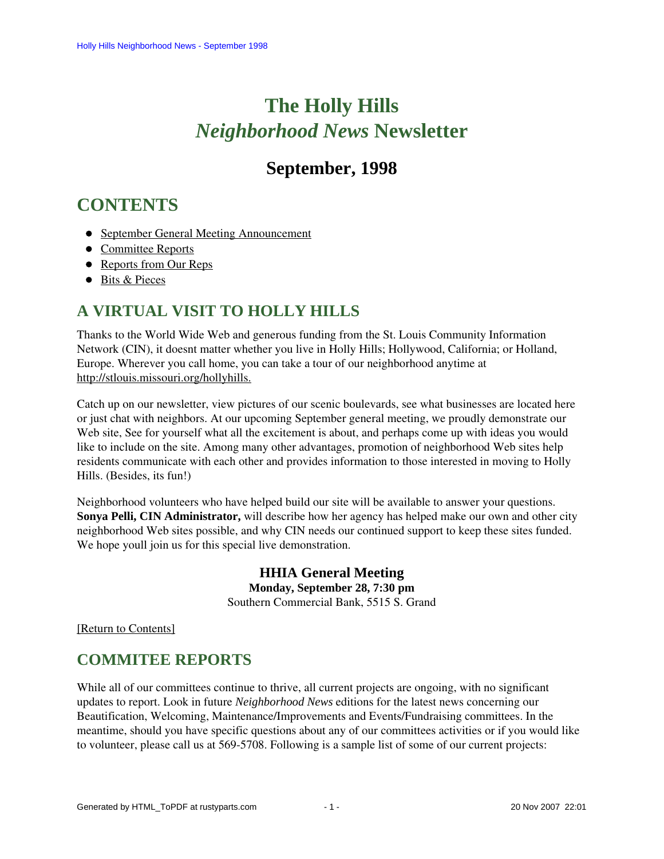# **The Holly Hills**  *Neighborhood News* **Newsletter**

# **September, 1998**

# <span id="page-0-2"></span>**CONTENTS**

- [September General Meeting Announcement](#page-0-0)
- [Committee Reports](#page-0-1)
- [Reports from Our Reps](#page-1-0)
- [Bits & Pieces](#page-3-0)

# <span id="page-0-0"></span>**A VIRTUAL VISIT TO HOLLY HILLS**

Thanks to the World Wide Web and generous funding from the St. Louis Community Information Network (CIN), it doesnt matter whether you live in Holly Hills; Hollywood, California; or Holland, Europe. Wherever you call home, you can take a tour of our neighborhood anytime at [http://stlouis.missouri.org/hollyhills.](http://stlouis.missouri.org/hollyhills)

Catch up on our newsletter, view pictures of our scenic boulevards, see what businesses are located here or just chat with neighbors. At our upcoming September general meeting, we proudly demonstrate our Web site, See for yourself what all the excitement is about, and perhaps come up with ideas you would like to include on the site. Among many other advantages, promotion of neighborhood Web sites help residents communicate with each other and provides information to those interested in moving to Holly Hills. (Besides, its fun!)

Neighborhood volunteers who have helped build our site will be available to answer your questions. **Sonya Pelli, CIN Administrator,** will describe how her agency has helped make our own and other city neighborhood Web sites possible, and why CIN needs our continued support to keep these sites funded. We hope youll join us for this special live demonstration.

> **HHIA General Meeting Monday, September 28, 7:30 pm** Southern Commercial Bank, 5515 S. Grand

<span id="page-0-1"></span>[\[Return to Contents\]](#page-0-2)

# **COMMITEE REPORTS**

While all of our committees continue to thrive, all current projects are ongoing, with no significant updates to report. Look in future *Neighborhood News* editions for the latest news concerning our Beautification, Welcoming, Maintenance/Improvements and Events/Fundraising committees. In the meantime, should you have specific questions about any of our committees activities or if you would like to volunteer, please call us at 569-5708. Following is a sample list of some of our current projects: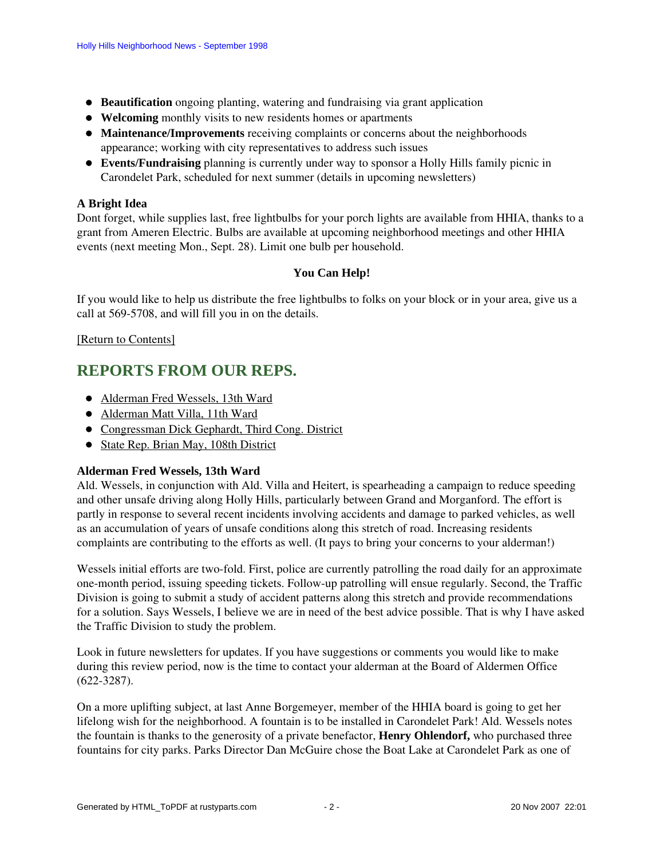- **Beautification** ongoing planting, watering and fundraising via grant application
- **Welcoming** monthly visits to new residents homes or apartments
- **Maintenance/Improvements** receiving complaints or concerns about the neighborhoods appearance; working with city representatives to address such issues
- **Events/Fundraising** planning is currently under way to sponsor a Holly Hills family picnic in Carondelet Park, scheduled for next summer (details in upcoming newsletters)

# **A Bright Idea**

Dont forget, while supplies last, free lightbulbs for your porch lights are available from HHIA, thanks to a grant from Ameren Electric. Bulbs are available at upcoming neighborhood meetings and other HHIA events (next meeting Mon., Sept. 28). Limit one bulb per household.

# **You Can Help!**

If you would like to help us distribute the free lightbulbs to folks on your block or in your area, give us a call at 569-5708, and will fill you in on the details.

[\[Return to Contents\]](#page-0-2)

# <span id="page-1-2"></span><span id="page-1-0"></span>**REPORTS FROM OUR REPS.**

- [Alderman Fred Wessels, 13th Ward](#page-1-1)
- [Alderman Matt Villa, 11th Ward](#page-2-0)
- [Congressman Dick Gephardt, Third Cong. District](#page-2-1)
- [State Rep. Brian May, 108th District](#page-2-2)

## <span id="page-1-1"></span>**Alderman Fred Wessels, 13th Ward**

Ald. Wessels, in conjunction with Ald. Villa and Heitert, is spearheading a campaign to reduce speeding and other unsafe driving along Holly Hills, particularly between Grand and Morganford. The effort is partly in response to several recent incidents involving accidents and damage to parked vehicles, as well as an accumulation of years of unsafe conditions along this stretch of road. Increasing residents complaints are contributing to the efforts as well. (It pays to bring your concerns to your alderman!)

Wessels initial efforts are two-fold. First, police are currently patrolling the road daily for an approximate one-month period, issuing speeding tickets. Follow-up patrolling will ensue regularly. Second, the Traffic Division is going to submit a study of accident patterns along this stretch and provide recommendations for a solution. Says Wessels, I believe we are in need of the best advice possible. That is why I have asked the Traffic Division to study the problem.

Look in future newsletters for updates. If you have suggestions or comments you would like to make during this review period, now is the time to contact your alderman at the Board of Aldermen Office (622-3287).

On a more uplifting subject, at last Anne Borgemeyer, member of the HHIA board is going to get her lifelong wish for the neighborhood. A fountain is to be installed in Carondelet Park! Ald. Wessels notes the fountain is thanks to the generosity of a private benefactor, **Henry Ohlendorf,** who purchased three fountains for city parks. Parks Director Dan McGuire chose the Boat Lake at Carondelet Park as one of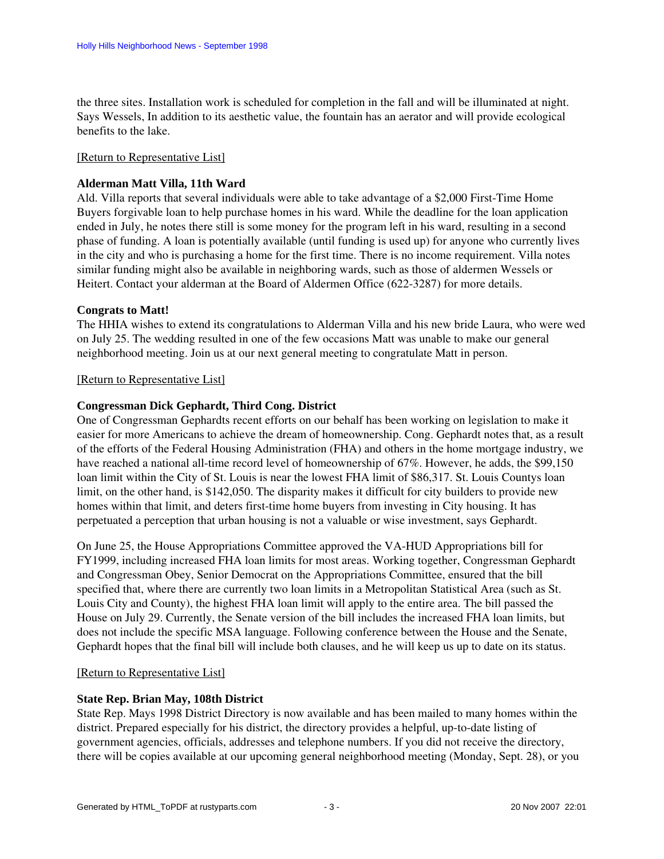the three sites. Installation work is scheduled for completion in the fall and will be illuminated at night. Says Wessels, In addition to its aesthetic value, the fountain has an aerator and will provide ecological benefits to the lake.

#### [\[Return to Representative List\]](#page-1-2)

#### <span id="page-2-0"></span>**Alderman Matt Villa, 11th Ward**

Ald. Villa reports that several individuals were able to take advantage of a \$2,000 First-Time Home Buyers forgivable loan to help purchase homes in his ward. While the deadline for the loan application ended in July, he notes there still is some money for the program left in his ward, resulting in a second phase of funding. A loan is potentially available (until funding is used up) for anyone who currently lives in the city and who is purchasing a home for the first time. There is no income requirement. Villa notes similar funding might also be available in neighboring wards, such as those of aldermen Wessels or Heitert. Contact your alderman at the Board of Aldermen Office (622-3287) for more details.

#### **Congrats to Matt!**

The HHIA wishes to extend its congratulations to Alderman Villa and his new bride Laura, who were wed on July 25. The wedding resulted in one of the few occasions Matt was unable to make our general neighborhood meeting. Join us at our next general meeting to congratulate Matt in person.

#### [\[Return to Representative List\]](#page-1-2)

#### <span id="page-2-1"></span>**Congressman Dick Gephardt, Third Cong. District**

One of Congressman Gephardts recent efforts on our behalf has been working on legislation to make it easier for more Americans to achieve the dream of homeownership. Cong. Gephardt notes that, as a result of the efforts of the Federal Housing Administration (FHA) and others in the home mortgage industry, we have reached a national all-time record level of homeownership of 67%. However, he adds, the \$99,150 loan limit within the City of St. Louis is near the lowest FHA limit of \$86,317. St. Louis Countys loan limit, on the other hand, is \$142,050. The disparity makes it difficult for city builders to provide new homes within that limit, and deters first-time home buyers from investing in City housing. It has perpetuated a perception that urban housing is not a valuable or wise investment, says Gephardt.

On June 25, the House Appropriations Committee approved the VA-HUD Appropriations bill for FY1999, including increased FHA loan limits for most areas. Working together, Congressman Gephardt and Congressman Obey, Senior Democrat on the Appropriations Committee, ensured that the bill specified that, where there are currently two loan limits in a Metropolitan Statistical Area (such as St. Louis City and County), the highest FHA loan limit will apply to the entire area. The bill passed the House on July 29. Currently, the Senate version of the bill includes the increased FHA loan limits, but does not include the specific MSA language. Following conference between the House and the Senate, Gephardt hopes that the final bill will include both clauses, and he will keep us up to date on its status.

#### [\[Return to Representative List\]](#page-1-2)

#### <span id="page-2-2"></span>**State Rep. Brian May, 108th District**

State Rep. Mays 1998 District Directory is now available and has been mailed to many homes within the district. Prepared especially for his district, the directory provides a helpful, up-to-date listing of government agencies, officials, addresses and telephone numbers. If you did not receive the directory, there will be copies available at our upcoming general neighborhood meeting (Monday, Sept. 28), or you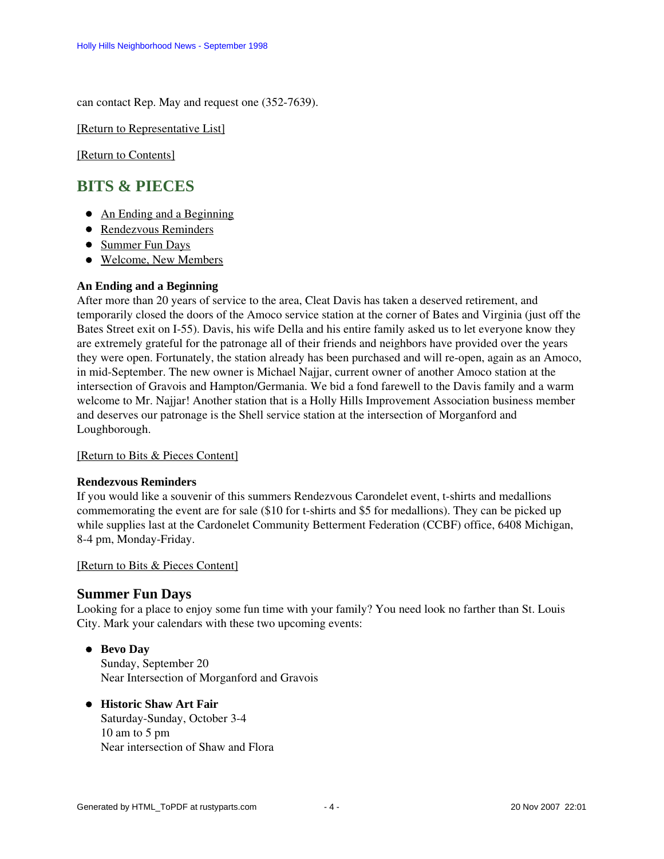can contact Rep. May and request one (352-7639).

[\[Return to Representative List\]](#page-1-2)

[\[Return to Contents\]](#page-0-2)

# <span id="page-3-4"></span><span id="page-3-0"></span>**BITS & PIECES**

- [An Ending and a Beginning](#page-3-1)
- **[Rendezvous Reminders](#page-3-2)**
- [Summer Fun Days](#page-3-3)
- [Welcome, New Members](#page-4-0)

## <span id="page-3-1"></span>**An Ending and a Beginning**

After more than 20 years of service to the area, Cleat Davis has taken a deserved retirement, and temporarily closed the doors of the Amoco service station at the corner of Bates and Virginia (just off the Bates Street exit on I-55). Davis, his wife Della and his entire family asked us to let everyone know they are extremely grateful for the patronage all of their friends and neighbors have provided over the years they were open. Fortunately, the station already has been purchased and will re-open, again as an Amoco, in mid-September. The new owner is Michael Najjar, current owner of another Amoco station at the intersection of Gravois and Hampton/Germania. We bid a fond farewell to the Davis family and a warm welcome to Mr. Najjar! Another station that is a Holly Hills Improvement Association business member and deserves our patronage is the Shell service station at the intersection of Morganford and Loughborough.

[\[Return to Bits & Pieces Content\]](#page-3-4)

## <span id="page-3-2"></span>**Rendezvous Reminders**

If you would like a souvenir of this summers Rendezvous Carondelet event, t-shirts and medallions commemorating the event are for sale (\$10 for t-shirts and \$5 for medallions). They can be picked up while supplies last at the Cardonelet Community Betterment Federation (CCBF) office, 6408 Michigan, 8-4 pm, Monday-Friday.

## [\[Return to Bits & Pieces Content\]](#page-3-4)

# <span id="page-3-3"></span>**Summer Fun Days**

Looking for a place to enjoy some fun time with your family? You need look no farther than St. Louis City. Mark your calendars with these two upcoming events:

- **Bevo Day** Sunday, September 20 Near Intersection of Morganford and Gravois
- **Historic Shaw Art Fair** Saturday-Sunday, October 3-4 10 am to 5 pm Near intersection of Shaw and Flora